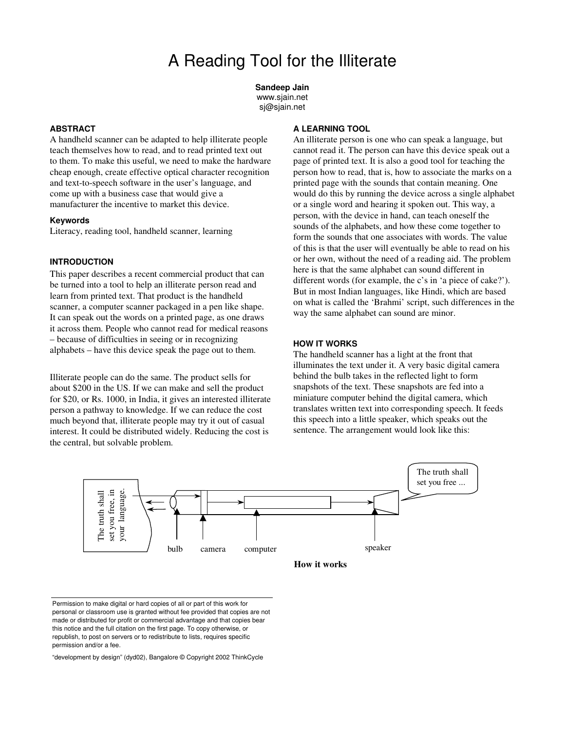**Sandeep Jain** www.sjain.net sj@sjain.net

#### **ABSTRACT**

A handheld scanner can be adapted to help illiterate people teach themselves how to read, and to read printed text out to them. To make this useful, we need to make the hardware cheap enough, create effective optical character recognition and text-to-speech software in the user's language, and come up with a business case that would give a manufacturer the incentive to market this device.

#### **Keywords**

Literacy, reading tool, handheld scanner, learning

# **INTRODUCTION**

This paper describes a recent commercial product that can be turned into a tool to help an illiterate person read and learn from printed text. That product is the handheld scanner, a computer scanner packaged in a pen like shape. It can speak out the words on a printed page, as one draws it across them. People who cannot read for medical reasons – because of difficulties in seeing or in recognizing alphabets – have this device speak the page out to them.

Illiterate people can do the same. The product sells for about \$200 in the US. If we can make and sell the product for \$20, or Rs. 1000, in India, it gives an interested illiterate person a pathway to knowledge. If we can reduce the cost much beyond that, illiterate people may try it out of casual interest. It could be distributed widely. Reducing the cost is the central, but solvable problem.

# **A LEARNING TOOL**

An illiterate person is one who can speak a language, but cannot read it. The person can have this device speak out a page of printed text. It is also a good tool for teaching the person how to read, that is, how to associate the marks on a printed page with the sounds that contain meaning. One would do this by running the device across a single alphabet or a single word and hearing it spoken out. This way, a person, with the device in hand, can teach oneself the sounds of the alphabets, and how these come together to form the sounds that one associates with words. The value of this is that the user will eventually be able to read on his or her own, without the need of a reading aid. The problem here is that the same alphabet can sound different in different words (for example, the c's in 'a piece of cake?'). But in most Indian languages, like Hindi, which are based on what is called the 'Brahmi' script, such differences in the way the same alphabet can sound are minor.

### **HOW IT WORKS**

The handheld scanner has a light at the front that illuminates the text under it. A very basic digital camera behind the bulb takes in the reflected light to form snapshots of the text. These snapshots are fed into a miniature computer behind the digital camera, which translates written text into corresponding speech. It feeds this speech into a little speaker, which speaks out the sentence. The arrangement would look like this:



Permission to make digital or hard copies of all or part of this work for personal or classroom use is granted without fee provided that copies are not made or distributed for profit or commercial advantage and that copies bear this notice and the full citation on the first page. To copy otherwise, or republish, to post on servers or to redistribute to lists, requires specific permission and/or a fee.

"development by design" (dyd02), Bangalore © Copyright 2002 ThinkCycle